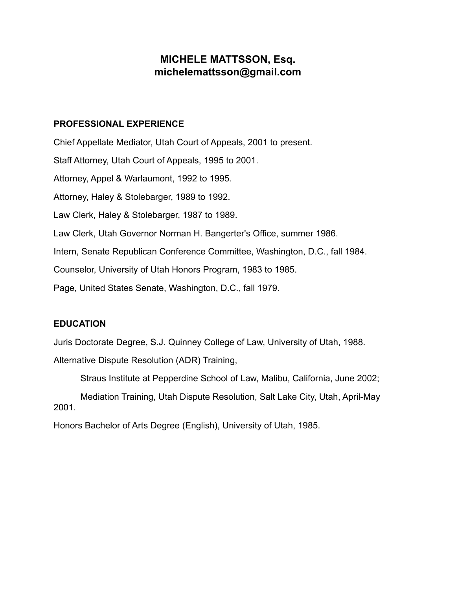# **MICHELE MATTSSON, Esq. michelemattsson@gmail.com**

#### **PROFESSIONAL EXPERIENCE**

Chief Appellate Mediator, Utah Court of Appeals, 2001 to present. Staff Attorney, Utah Court of Appeals, 1995 to 2001. Attorney, Appel & Warlaumont, 1992 to 1995. Attorney, Haley & Stolebarger, 1989 to 1992. Law Clerk, Haley & Stolebarger, 1987 to 1989. Law Clerk, Utah Governor Norman H. Bangerter's Office, summer 1986. Intern, Senate Republican Conference Committee, Washington, D.C., fall 1984. Counselor, University of Utah Honors Program, 1983 to 1985. Page, United States Senate, Washington, D.C., fall 1979.

### **EDUCATION**

Juris Doctorate Degree, S.J. Quinney College of Law, University of Utah, 1988.

Alternative Dispute Resolution (ADR) Training,

Straus Institute at Pepperdine School of Law, Malibu, California, June 2002;

Mediation Training, Utah Dispute Resolution, Salt Lake City, Utah, April-May 2001.

Honors Bachelor of Arts Degree (English), University of Utah, 1985.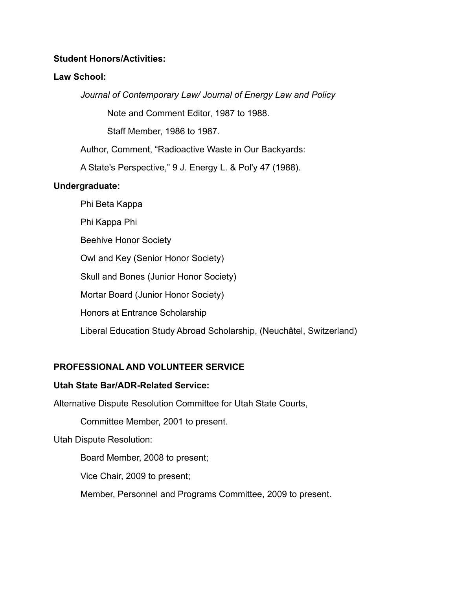### **Student Honors/Activities:**

## **Law School:**

*Journal of Contemporary Law/ Journal of Energy Law and Policy*

Note and Comment Editor, 1987 to 1988.

Staff Member, 1986 to 1987.

Author, Comment, "Radioactive Waste in Our Backyards:

A State's Perspective," 9 J. Energy L. & Pol'y 47 (1988).

# **Undergraduate:**

Phi Beta Kappa

Phi Kappa Phi

Beehive Honor Society

Owl and Key (Senior Honor Society)

Skull and Bones (Junior Honor Society)

Mortar Board (Junior Honor Society)

Honors at Entrance Scholarship

Liberal Education Study Abroad Scholarship, (Neuchâtel, Switzerland)

# **PROFESSIONAL AND VOLUNTEER SERVICE**

# **Utah State Bar/ADR-Related Service:**

Alternative Dispute Resolution Committee for Utah State Courts,

Committee Member, 2001 to present.

Utah Dispute Resolution:

Board Member, 2008 to present;

Vice Chair, 2009 to present;

Member, Personnel and Programs Committee, 2009 to present.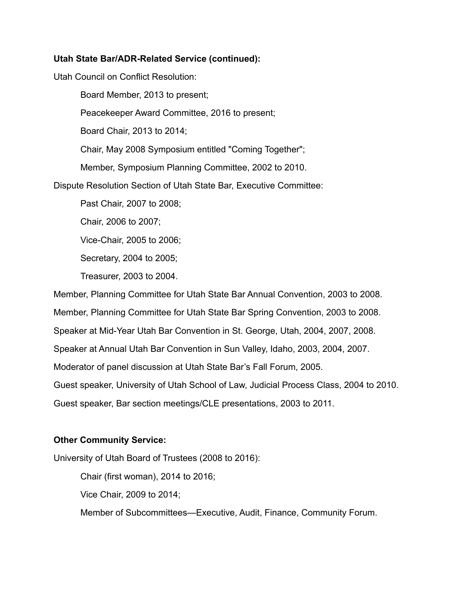### **Utah State Bar/ADR-Related Service (continued):**

Utah Council on Conflict Resolution:

Board Member, 2013 to present;

Peacekeeper Award Committee, 2016 to present;

Board Chair, 2013 to 2014;

Chair, May 2008 Symposium entitled "Coming Together";

Member, Symposium Planning Committee, 2002 to 2010.

Dispute Resolution Section of Utah State Bar, Executive Committee:

Past Chair, 2007 to 2008;

Chair, 2006 to 2007;

Vice-Chair, 2005 to 2006;

Secretary, 2004 to 2005;

Treasurer, 2003 to 2004.

Member, Planning Committee for Utah State Bar Annual Convention, 2003 to 2008.

Member, Planning Committee for Utah State Bar Spring Convention, 2003 to 2008.

Speaker at Mid-Year Utah Bar Convention in St. George, Utah, 2004, 2007, 2008.

Speaker at Annual Utah Bar Convention in Sun Valley, Idaho, 2003, 2004, 2007.

Moderator of panel discussion at Utah State Bar's Fall Forum, 2005.

Guest speaker, University of Utah School of Law, Judicial Process Class, 2004 to 2010.

Guest speaker, Bar section meetings/CLE presentations, 2003 to 2011.

#### **Other Community Service:**

University of Utah Board of Trustees (2008 to 2016):

Chair (first woman), 2014 to 2016;

Vice Chair, 2009 to 2014;

Member of Subcommittees—Executive, Audit, Finance, Community Forum.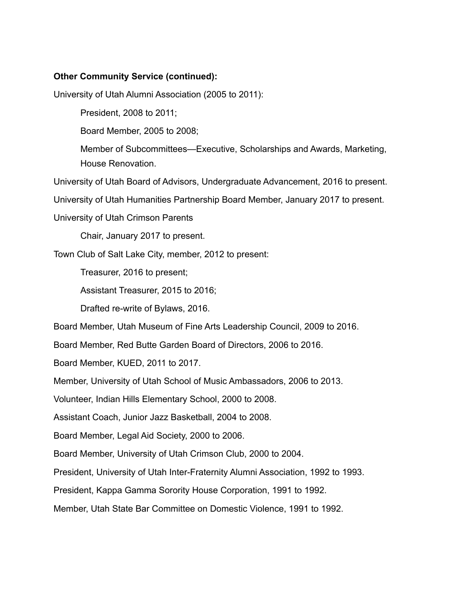### **Other Community Service (continued):**

University of Utah Alumni Association (2005 to 2011):

President, 2008 to 2011;

Board Member, 2005 to 2008;

Member of Subcommittees—Executive, Scholarships and Awards, Marketing, House Renovation.

University of Utah Board of Advisors, Undergraduate Advancement, 2016 to present.

University of Utah Humanities Partnership Board Member, January 2017 to present.

University of Utah Crimson Parents

Chair, January 2017 to present.

Town Club of Salt Lake City, member, 2012 to present:

Treasurer, 2016 to present;

Assistant Treasurer, 2015 to 2016;

Drafted re-write of Bylaws, 2016.

Board Member, Utah Museum of Fine Arts Leadership Council, 2009 to 2016.

Board Member, Red Butte Garden Board of Directors, 2006 to 2016.

Board Member, KUED, 2011 to 2017.

Member, University of Utah School of Music Ambassadors, 2006 to 2013.

Volunteer, Indian Hills Elementary School, 2000 to 2008.

Assistant Coach, Junior Jazz Basketball, 2004 to 2008.

Board Member, Legal Aid Society, 2000 to 2006.

Board Member, University of Utah Crimson Club, 2000 to 2004.

President, University of Utah Inter-Fraternity Alumni Association, 1992 to 1993.

President, Kappa Gamma Sorority House Corporation, 1991 to 1992.

Member, Utah State Bar Committee on Domestic Violence, 1991 to 1992.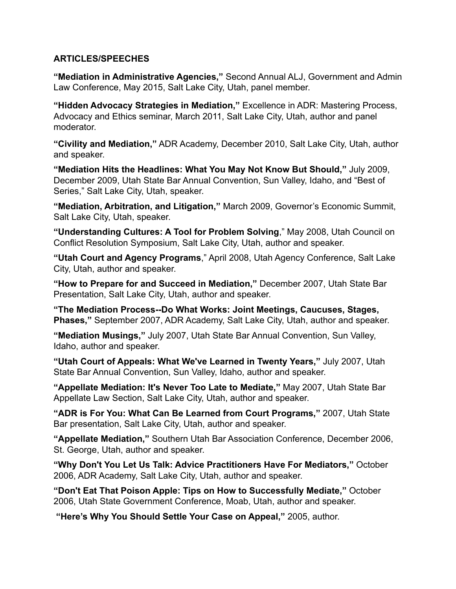### **ARTICLES/SPEECHES**

**"Mediation in Administrative Agencies,"** Second Annual ALJ, Government and Admin Law Conference, May 2015, Salt Lake City, Utah, panel member.

**"Hidden Advocacy Strategies in Mediation,"** Excellence in ADR: Mastering Process, Advocacy and Ethics seminar, March 2011, Salt Lake City, Utah, author and panel moderator.

**"Civility and Mediation,"** ADR Academy, December 2010, Salt Lake City, Utah, author and speaker.

**"Mediation Hits the Headlines: What You May Not Know But Should,"** July 2009, December 2009, Utah State Bar Annual Convention, Sun Valley, Idaho, and "Best of Series," Salt Lake City, Utah, speaker.

**"Mediation, Arbitration, and Litigation,"** March 2009, Governor's Economic Summit, Salt Lake City, Utah, speaker.

**"Understanding Cultures: A Tool for Problem Solving**," May 2008, Utah Council on Conflict Resolution Symposium, Salt Lake City, Utah, author and speaker.

**"Utah Court and Agency Programs**," April 2008, Utah Agency Conference, Salt Lake City, Utah, author and speaker.

**"How to Prepare for and Succeed in Mediation,"** December 2007, Utah State Bar Presentation, Salt Lake City, Utah, author and speaker.

**"The Mediation Process--Do What Works: Joint Meetings, Caucuses, Stages, Phases,"** September 2007, ADR Academy, Salt Lake City, Utah, author and speaker.

**"Mediation Musings,"** July 2007, Utah State Bar Annual Convention, Sun Valley, Idaho, author and speaker.

**"Utah Court of Appeals: What We've Learned in Twenty Years,"** July 2007, Utah State Bar Annual Convention, Sun Valley, Idaho, author and speaker.

**"Appellate Mediation: It's Never Too Late to Mediate,"** May 2007, Utah State Bar Appellate Law Section, Salt Lake City, Utah, author and speaker.

**"ADR is For You: What Can Be Learned from Court Programs,"** 2007, Utah State Bar presentation, Salt Lake City, Utah, author and speaker.

**"Appellate Mediation,"** Southern Utah Bar Association Conference, December 2006, St. George, Utah, author and speaker.

**"Why Don't You Let Us Talk: Advice Practitioners Have For Mediators,"** October 2006, ADR Academy, Salt Lake City, Utah, author and speaker.

**"Don't Eat That Poison Apple: Tips on How to Successfully Mediate,"** October 2006, Utah State Government Conference, Moab, Utah, author and speaker.

 **"Here's Why You Should Settle Your Case on Appeal,"** 2005, author.